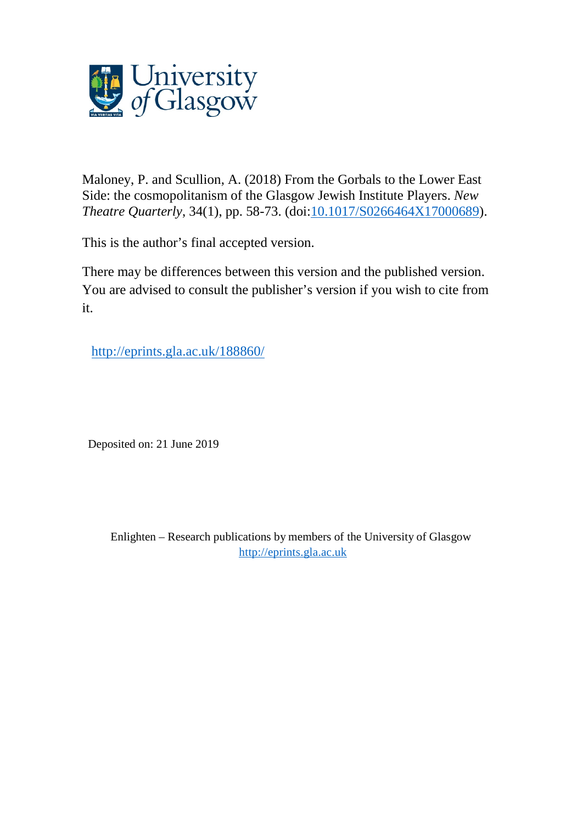

Maloney, P. and Scullion, A. (2018) From the Gorbals to the Lower East Side: the cosmopolitanism of the Glasgow Jewish Institute Players. *New Theatre Quarterly*, 34(1), pp. 58-73. (doi[:10.1017/S0266464X17000689\)](http://dx.doi.org/10.1017/S0266464X17000689).

This is the author's final accepted version.

There may be differences between this version and the published version. You are advised to consult the publisher's version if you wish to cite from it.

[http://eprints.gla.ac.uk/188860/](http://eprints.gla.ac.uk/188217/) 

Deposited on: 21 June 2019

Enlighten – Research publications by members of the University of Glasgow [http://eprints.gla.ac.uk](http://eprints.gla.ac.uk/)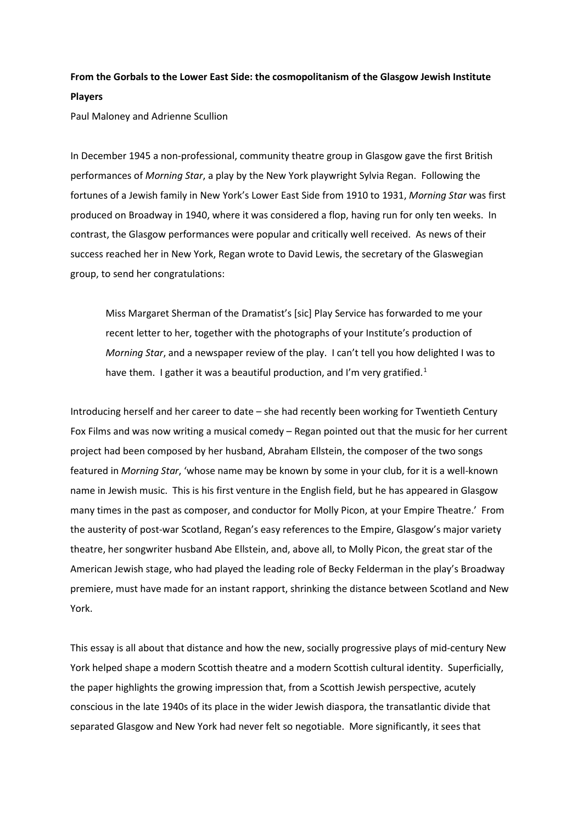# **From the Gorbals to the Lower East Side: the cosmopolitanism of the Glasgow Jewish Institute Players**

Paul Maloney and Adrienne Scullion

In December 1945 a non-professional, community theatre group in Glasgow gave the first British performances of *Morning Star*, a play by the New York playwright Sylvia Regan. Following the fortunes of a Jewish family in New York's Lower East Side from 1910 to 1931, *Morning Star* was first produced on Broadway in 1940, where it was considered a flop, having run for only ten weeks. In contrast, the Glasgow performances were popular and critically well received. As news of their success reached her in New York, Regan wrote to David Lewis, the secretary of the Glaswegian group, to send her congratulations:

Miss Margaret Sherman of the Dramatist's [sic] Play Service has forwarded to me your recent letter to her, together with the photographs of your Institute's production of *Morning Star*, and a newspaper review of the play. I can't tell you how delighted I was to have them. I gather it was a beautiful production, and I'm very gratified.<sup>[1](#page-17-0)</sup>

Introducing herself and her career to date – she had recently been working for Twentieth Century Fox Films and was now writing a musical comedy – Regan pointed out that the music for her current project had been composed by her husband, Abraham Ellstein, the composer of the two songs featured in *Morning Star*, 'whose name may be known by some in your club, for it is a well-known name in Jewish music. This is his first venture in the English field, but he has appeared in Glasgow many times in the past as composer, and conductor for Molly Picon, at your Empire Theatre.' From the austerity of post-war Scotland, Regan's easy references to the Empire, Glasgow's major variety theatre, her songwriter husband Abe Ellstein, and, above all, to Molly Picon, the great star of the American Jewish stage, who had played the leading role of Becky Felderman in the play's Broadway premiere, must have made for an instant rapport, shrinking the distance between Scotland and New York.

This essay is all about that distance and how the new, socially progressive plays of mid-century New York helped shape a modern Scottish theatre and a modern Scottish cultural identity. Superficially, the paper highlights the growing impression that, from a Scottish Jewish perspective, acutely conscious in the late 1940s of its place in the wider Jewish diaspora, the transatlantic divide that separated Glasgow and New York had never felt so negotiable. More significantly, it sees that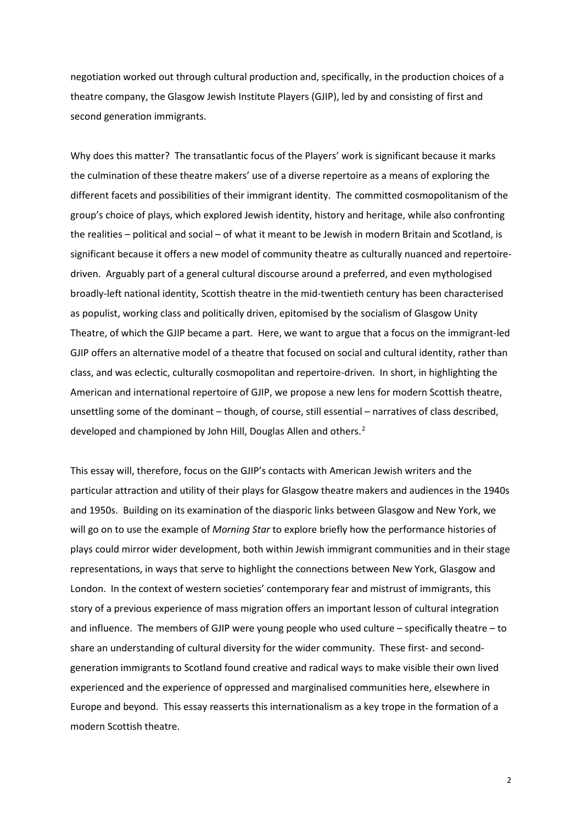negotiation worked out through cultural production and, specifically, in the production choices of a theatre company, the Glasgow Jewish Institute Players (GJIP), led by and consisting of first and second generation immigrants.

Why does this matter? The transatlantic focus of the Players' work is significant because it marks the culmination of these theatre makers' use of a diverse repertoire as a means of exploring the different facets and possibilities of their immigrant identity. The committed cosmopolitanism of the group's choice of plays, which explored Jewish identity, history and heritage, while also confronting the realities – political and social – of what it meant to be Jewish in modern Britain and Scotland, is significant because it offers a new model of community theatre as culturally nuanced and repertoiredriven. Arguably part of a general cultural discourse around a preferred, and even mythologised broadly-left national identity, Scottish theatre in the mid-twentieth century has been characterised as populist, working class and politically driven, epitomised by the socialism of Glasgow Unity Theatre, of which the GJIP became a part. Here, we want to argue that a focus on the immigrant-led GJIP offers an alternative model of a theatre that focused on social and cultural identity, rather than class, and was eclectic, culturally cosmopolitan and repertoire-driven. In short, in highlighting the American and international repertoire of GJIP, we propose a new lens for modern Scottish theatre, unsettling some of the dominant – though, of course, still essential – narratives of class described, developed and championed by John Hill, Douglas Allen and others.<sup>[2](#page-17-1)</sup>

This essay will, therefore, focus on the GJIP's contacts with American Jewish writers and the particular attraction and utility of their plays for Glasgow theatre makers and audiences in the 1940s and 1950s. Building on its examination of the diasporic links between Glasgow and New York, we will go on to use the example of *Morning Star* to explore briefly how the performance histories of plays could mirror wider development, both within Jewish immigrant communities and in their stage representations, in ways that serve to highlight the connections between New York, Glasgow and London. In the context of western societies' contemporary fear and mistrust of immigrants, this story of a previous experience of mass migration offers an important lesson of cultural integration and influence. The members of GJIP were young people who used culture – specifically theatre – to share an understanding of cultural diversity for the wider community. These first- and secondgeneration immigrants to Scotland found creative and radical ways to make visible their own lived experienced and the experience of oppressed and marginalised communities here, elsewhere in Europe and beyond. This essay reasserts this internationalism as a key trope in the formation of a modern Scottish theatre.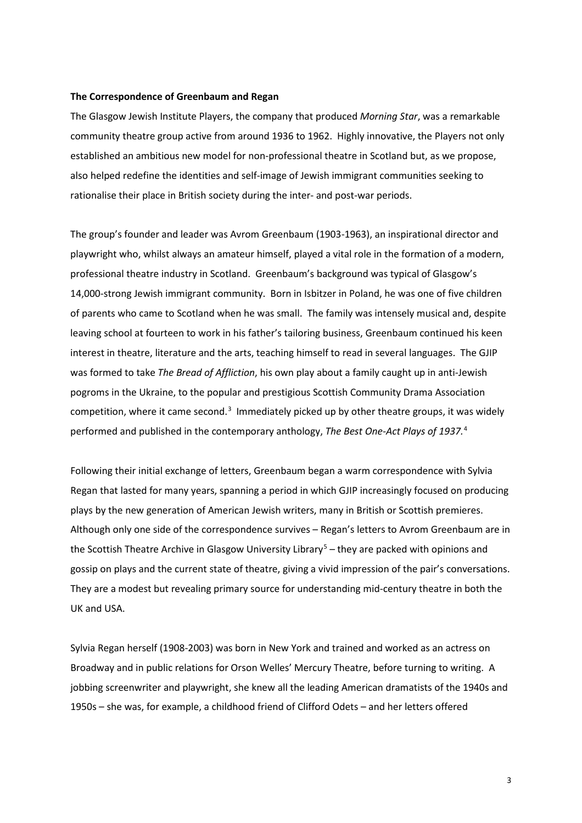## **The Correspondence of Greenbaum and Regan**

The Glasgow Jewish Institute Players, the company that produced *Morning Star*, was a remarkable community theatre group active from around 1936 to 1962. Highly innovative, the Players not only established an ambitious new model for non-professional theatre in Scotland but, as we propose, also helped redefine the identities and self-image of Jewish immigrant communities seeking to rationalise their place in British society during the inter- and post-war periods.

The group's founder and leader was Avrom Greenbaum (1903-1963), an inspirational director and playwright who, whilst always an amateur himself, played a vital role in the formation of a modern, professional theatre industry in Scotland. Greenbaum's background was typical of Glasgow's 14,000-strong Jewish immigrant community. Born in Isbitzer in Poland, he was one of five children of parents who came to Scotland when he was small. The family was intensely musical and, despite leaving school at fourteen to work in his father's tailoring business, Greenbaum continued his keen interest in theatre, literature and the arts, teaching himself to read in several languages. The GJIP was formed to take *The Bread of Affliction*, his own play about a family caught up in anti-Jewish pogroms in the Ukraine, to the popular and prestigious Scottish Community Drama Association competition, where it came second.<sup>[3](#page-17-2)</sup> Immediately picked up by other theatre groups, it was widely performed and published in the contemporary anthology, *The Best One-Act Plays of 1937.*[4](#page-17-3) 

Following their initial exchange of letters, Greenbaum began a warm correspondence with Sylvia Regan that lasted for many years, spanning a period in which GJIP increasingly focused on producing plays by the new generation of American Jewish writers, many in British or Scottish premieres. Although only one side of the correspondence survives – Regan's letters to Avrom Greenbaum are in the Scottish Theatre Archive in Glasgow University Library<sup>[5](#page-17-4)</sup> – they are packed with opinions and gossip on plays and the current state of theatre, giving a vivid impression of the pair's conversations. They are a modest but revealing primary source for understanding mid-century theatre in both the UK and USA.

Sylvia Regan herself (1908-2003) was born in New York and trained and worked as an actress on Broadway and in public relations for Orson Welles' Mercury Theatre, before turning to writing. A jobbing screenwriter and playwright, she knew all the leading American dramatists of the 1940s and 1950s – she was, for example, a childhood friend of Clifford Odets – and her letters offered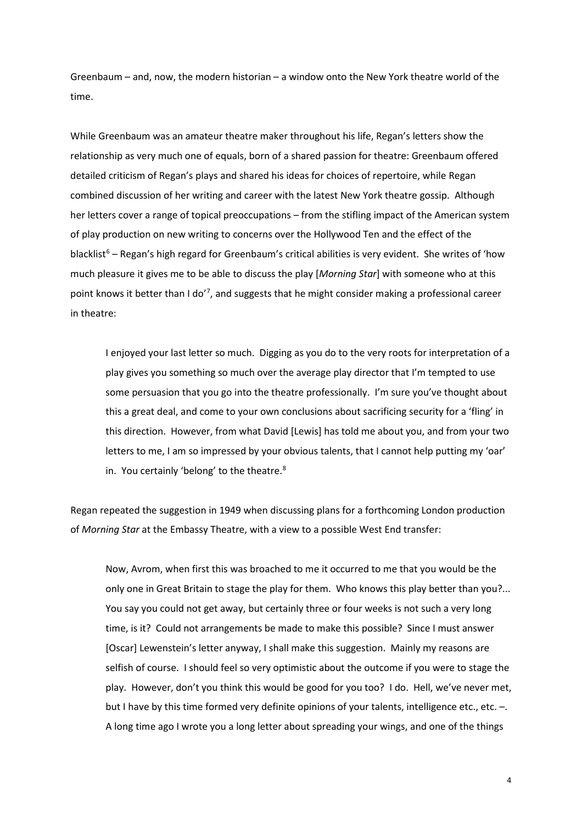Greenbaum – and, now, the modern historian – a window onto the New York theatre world of the time.

While Greenbaum was an amateur theatre maker throughout his life, Regan's letters show the relationship as very much one of equals, born of a shared passion for theatre: Greenbaum offered detailed criticism of Regan's plays and shared his ideas for choices of repertoire, while Regan combined discussion of her writing and career with the latest New York theatre gossip. Although her letters cover a range of topical preoccupations – from the stifling impact of the American system of play production on new writing to concerns over the Hollywood Ten and the effect of the blacklist<sup>[6](#page-17-5)</sup> – Regan's high regard for Greenbaum's critical abilities is very evident. She writes of 'how much pleasure it gives me to be able to discuss the play [*Morning Star*] with someone who at this point knows it better than I do'<sup>7</sup>, and suggests that he might consider making a professional career in theatre:

I enjoyed your last letter so much. Digging as you do to the very roots for interpretation of a play gives you something so much over the average play director that I'm tempted to use some persuasion that you go into the theatre professionally. I'm sure you've thought about this a great deal, and come to your own conclusions about sacrificing security for a 'fling' in this direction. However, from what David [Lewis] has told me about you, and from your two letters to me, I am so impressed by your obvious talents, that I cannot help putting my 'oar' in. You certainly 'belong' to the theatre.<sup>[8](#page-17-7)</sup>

Regan repeated the suggestion in 1949 when discussing plans for a forthcoming London production of *Morning Star* at the Embassy Theatre, with a view to a possible West End transfer:

Now, Avrom, when first this was broached to me it occurred to me that you would be the only one in Great Britain to stage the play for them. Who knows this play better than you?... You say you could not get away, but certainly three or four weeks is not such a very long time, is it? Could not arrangements be made to make this possible? Since I must answer [Oscar] Lewenstein's letter anyway, I shall make this suggestion. Mainly my reasons are selfish of course. I should feel so very optimistic about the outcome if you were to stage the play. However, don't you think this would be good for you too? I do. Hell, we've never met, but I have by this time formed very definite opinions of your talents, intelligence etc., etc. -A long time ago I wrote you a long letter about spreading your wings, and one of the things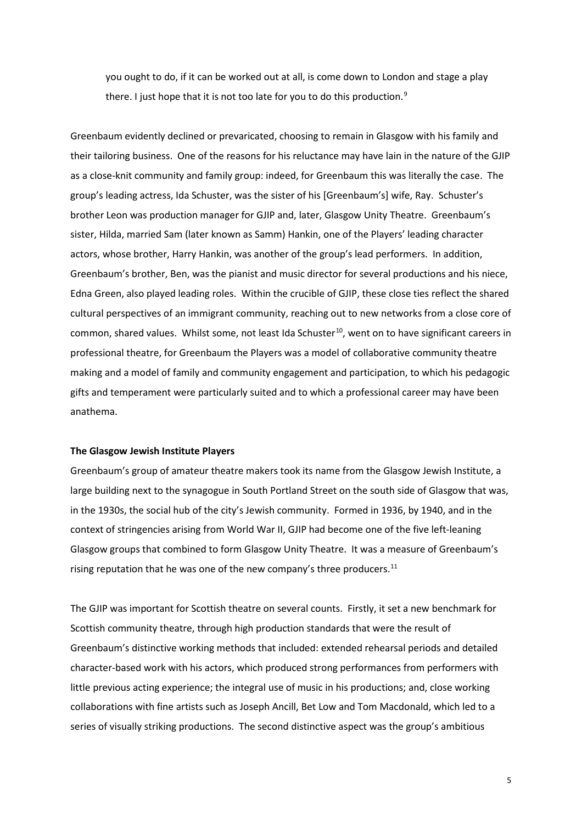you ought to do, if it can be worked out at all, is come down to London and stage a play there. I just hope that it is not too late for you to do this production.<sup>[9](#page-17-8)</sup>

Greenbaum evidently declined or prevaricated, choosing to remain in Glasgow with his family and their tailoring business. One of the reasons for his reluctance may have lain in the nature of the GJIP as a close-knit community and family group: indeed, for Greenbaum this was literally the case. The group's leading actress, Ida Schuster, was the sister of his [Greenbaum's] wife, Ray. Schuster's brother Leon was production manager for GJIP and, later, Glasgow Unity Theatre. Greenbaum's sister, Hilda, married Sam (later known as Samm) Hankin, one of the Players' leading character actors, whose brother, Harry Hankin, was another of the group's lead performers. In addition, Greenbaum's brother, Ben, was the pianist and music director for several productions and his niece, Edna Green, also played leading roles. Within the crucible of GJIP, these close ties reflect the shared cultural perspectives of an immigrant community, reaching out to new networks from a close core of common, shared values. Whilst some, not least Ida Schuster<sup>[10](#page-17-9)</sup>, went on to have significant careers in professional theatre, for Greenbaum the Players was a model of collaborative community theatre making and a model of family and community engagement and participation, to which his pedagogic gifts and temperament were particularly suited and to which a professional career may have been anathema.

#### **The Glasgow Jewish Institute Players**

Greenbaum's group of amateur theatre makers took its name from the Glasgow Jewish Institute, a large building next to the synagogue in South Portland Street on the south side of Glasgow that was, in the 1930s, the social hub of the city's Jewish community. Formed in 1936, by 1940, and in the context of stringencies arising from World War II, GJIP had become one of the five left-leaning Glasgow groups that combined to form Glasgow Unity Theatre. It was a measure of Greenbaum's rising reputation that he was one of the new company's three producers.<sup>[11](#page-18-0)</sup>

The GJIP was important for Scottish theatre on several counts. Firstly, it set a new benchmark for Scottish community theatre, through high production standards that were the result of Greenbaum's distinctive working methods that included: extended rehearsal periods and detailed character-based work with his actors, which produced strong performances from performers with little previous acting experience; the integral use of music in his productions; and, close working collaborations with fine artists such as Joseph Ancill, Bet Low and Tom Macdonald, which led to a series of visually striking productions. The second distinctive aspect was the group's ambitious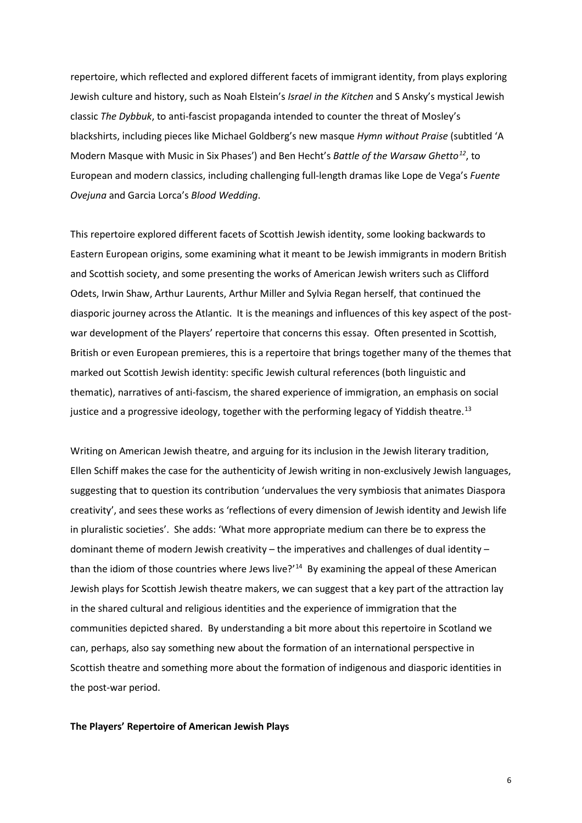repertoire, which reflected and explored different facets of immigrant identity, from plays exploring Jewish culture and history, such as Noah Elstein's *Israel in the Kitchen* and S Ansky's mystical Jewish classic *The Dybbuk*, to anti-fascist propaganda intended to counter the threat of Mosley's blackshirts, including pieces like Michael Goldberg's new masque *Hymn without Praise* (subtitled 'A Modern Masque with Music in Six Phases') and Ben Hecht's *Battle of the Warsaw Ghetto[12](#page-18-1)*, to European and modern classics, including challenging full-length dramas like Lope de Vega's *Fuente Ovejuna* and Garcia Lorca's *Blood Wedding*.

This repertoire explored different facets of Scottish Jewish identity, some looking backwards to Eastern European origins, some examining what it meant to be Jewish immigrants in modern British and Scottish society, and some presenting the works of American Jewish writers such as Clifford Odets, Irwin Shaw, Arthur Laurents, Arthur Miller and Sylvia Regan herself, that continued the diasporic journey across the Atlantic. It is the meanings and influences of this key aspect of the postwar development of the Players' repertoire that concerns this essay. Often presented in Scottish, British or even European premieres, this is a repertoire that brings together many of the themes that marked out Scottish Jewish identity: specific Jewish cultural references (both linguistic and thematic), narratives of anti-fascism, the shared experience of immigration, an emphasis on social justice and a progressive ideology, together with the performing legacy of Yiddish theatre.<sup>[13](#page-18-2)</sup>

Writing on American Jewish theatre, and arguing for its inclusion in the Jewish literary tradition, Ellen Schiff makes the case for the authenticity of Jewish writing in non-exclusively Jewish languages, suggesting that to question its contribution 'undervalues the very symbiosis that animates Diaspora creativity', and sees these works as 'reflections of every dimension of Jewish identity and Jewish life in pluralistic societies'. She adds: 'What more appropriate medium can there be to express the dominant theme of modern Jewish creativity – the imperatives and challenges of dual identity – than the idiom of those countries where Jews live?' $14$  By examining the appeal of these American Jewish plays for Scottish Jewish theatre makers, we can suggest that a key part of the attraction lay in the shared cultural and religious identities and the experience of immigration that the communities depicted shared. By understanding a bit more about this repertoire in Scotland we can, perhaps, also say something new about the formation of an international perspective in Scottish theatre and something more about the formation of indigenous and diasporic identities in the post-war period.

#### **The Players' Repertoire of American Jewish Plays**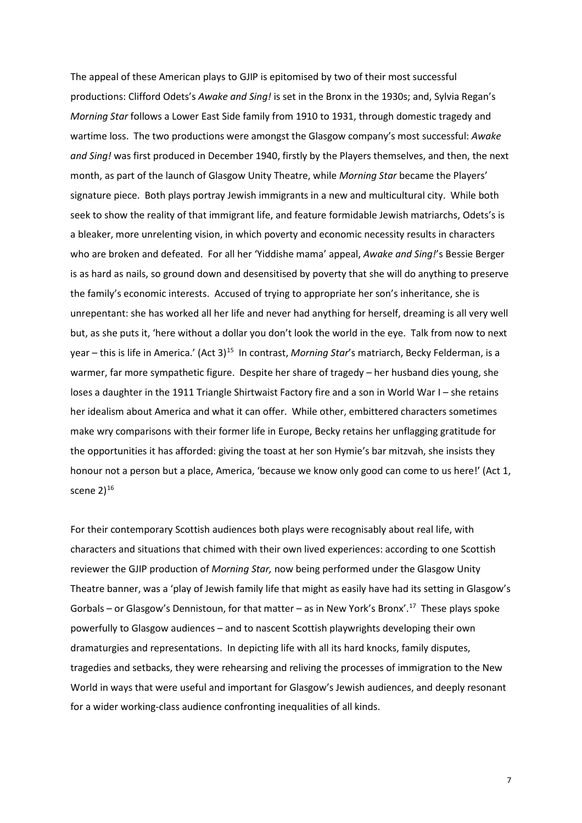The appeal of these American plays to GJIP is epitomised by two of their most successful productions: Clifford Odets's *Awake and Sing!* is set in the Bronx in the 1930s; and, Sylvia Regan's *Morning Star* follows a Lower East Side family from 1910 to 1931, through domestic tragedy and wartime loss. The two productions were amongst the Glasgow company's most successful: *Awake and Sing!* was first produced in December 1940, firstly by the Players themselves, and then, the next month, as part of the launch of Glasgow Unity Theatre, while *Morning Star* became the Players' signature piece. Both plays portray Jewish immigrants in a new and multicultural city. While both seek to show the reality of that immigrant life, and feature formidable Jewish matriarchs, Odets's is a bleaker, more unrelenting vision, in which poverty and economic necessity results in characters who are broken and defeated. For all her 'Yiddishe mama' appeal, *Awake and Sing!*'s Bessie Berger is as hard as nails, so ground down and desensitised by poverty that she will do anything to preserve the family's economic interests. Accused of trying to appropriate her son's inheritance, she is unrepentant: she has worked all her life and never had anything for herself, dreaming is all very well but, as she puts it, 'here without a dollar you don't look the world in the eye. Talk from now to next year – this is life in America.' (Act 3) [15](#page-18-4) In contrast, *Morning Star*'s matriarch, Becky Felderman, is a warmer, far more sympathetic figure. Despite her share of tragedy – her husband dies young, she loses a daughter in the 1911 Triangle Shirtwaist Factory fire and a son in World War I – she retains her idealism about America and what it can offer. While other, embittered characters sometimes make wry comparisons with their former life in Europe, Becky retains her unflagging gratitude for the opportunities it has afforded: giving the toast at her son Hymie's bar mitzvah, she insists they honour not a person but a place, America, 'because we know only good can come to us here!' (Act 1, scene 2) [16](#page-18-5)

For their contemporary Scottish audiences both plays were recognisably about real life, with characters and situations that chimed with their own lived experiences: according to one Scottish reviewer the GJIP production of *Morning Star,* now being performed under the Glasgow Unity Theatre banner, was a 'play of Jewish family life that might as easily have had its setting in Glasgow's Gorbals – or Glasgow's Dennistoun, for that matter – as in New York's Bronx'[.17](#page-18-6) These plays spoke powerfully to Glasgow audiences – and to nascent Scottish playwrights developing their own dramaturgies and representations. In depicting life with all its hard knocks, family disputes, tragedies and setbacks, they were rehearsing and reliving the processes of immigration to the New World in ways that were useful and important for Glasgow's Jewish audiences, and deeply resonant for a wider working-class audience confronting inequalities of all kinds.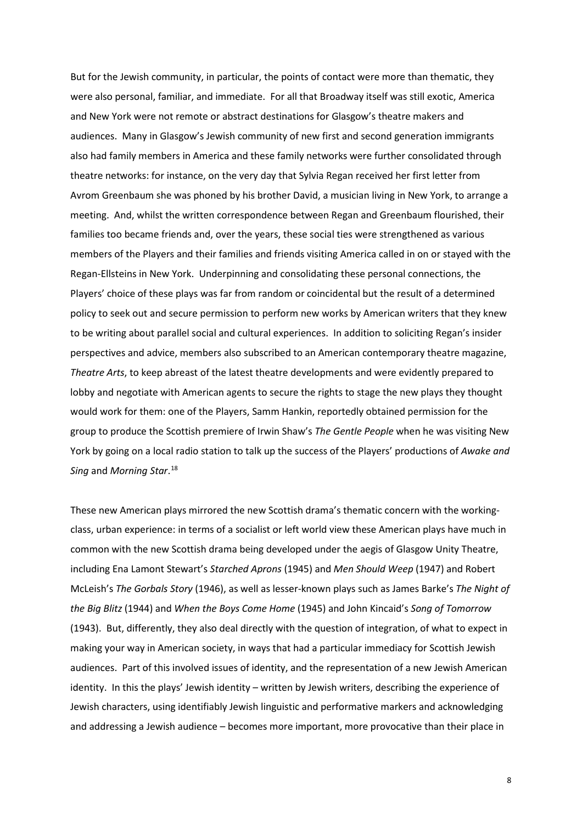But for the Jewish community, in particular, the points of contact were more than thematic, they were also personal, familiar, and immediate. For all that Broadway itself was still exotic, America and New York were not remote or abstract destinations for Glasgow's theatre makers and audiences. Many in Glasgow's Jewish community of new first and second generation immigrants also had family members in America and these family networks were further consolidated through theatre networks: for instance, on the very day that Sylvia Regan received her first letter from Avrom Greenbaum she was phoned by his brother David, a musician living in New York, to arrange a meeting. And, whilst the written correspondence between Regan and Greenbaum flourished, their families too became friends and, over the years, these social ties were strengthened as various members of the Players and their families and friends visiting America called in on or stayed with the Regan-Ellsteins in New York. Underpinning and consolidating these personal connections, the Players' choice of these plays was far from random or coincidental but the result of a determined policy to seek out and secure permission to perform new works by American writers that they knew to be writing about parallel social and cultural experiences. In addition to soliciting Regan's insider perspectives and advice, members also subscribed to an American contemporary theatre magazine, *Theatre Arts*, to keep abreast of the latest theatre developments and were evidently prepared to lobby and negotiate with American agents to secure the rights to stage the new plays they thought would work for them: one of the Players, Samm Hankin, reportedly obtained permission for the group to produce the Scottish premiere of Irwin Shaw's *The Gentle People* when he was visiting New York by going on a local radio station to talk up the success of the Players' productions of *Awake and Sing* and *Morning Star*. [18](#page-19-0) 

These new American plays mirrored the new Scottish drama's thematic concern with the workingclass, urban experience: in terms of a socialist or left world view these American plays have much in common with the new Scottish drama being developed under the aegis of Glasgow Unity Theatre, including Ena Lamont Stewart's *Starched Aprons* (1945) and *Men Should Weep* (1947) and Robert McLeish's *The Gorbals Story* (1946), as well as lesser-known plays such as James Barke's *The Night of the Big Blitz* (1944) and *When the Boys Come Home* (1945) and John Kincaid's *Song of Tomorrow* (1943). But, differently, they also deal directly with the question of integration, of what to expect in making your way in American society, in ways that had a particular immediacy for Scottish Jewish audiences. Part of this involved issues of identity, and the representation of a new Jewish American identity. In this the plays' Jewish identity – written by Jewish writers, describing the experience of Jewish characters, using identifiably Jewish linguistic and performative markers and acknowledging and addressing a Jewish audience – becomes more important, more provocative than their place in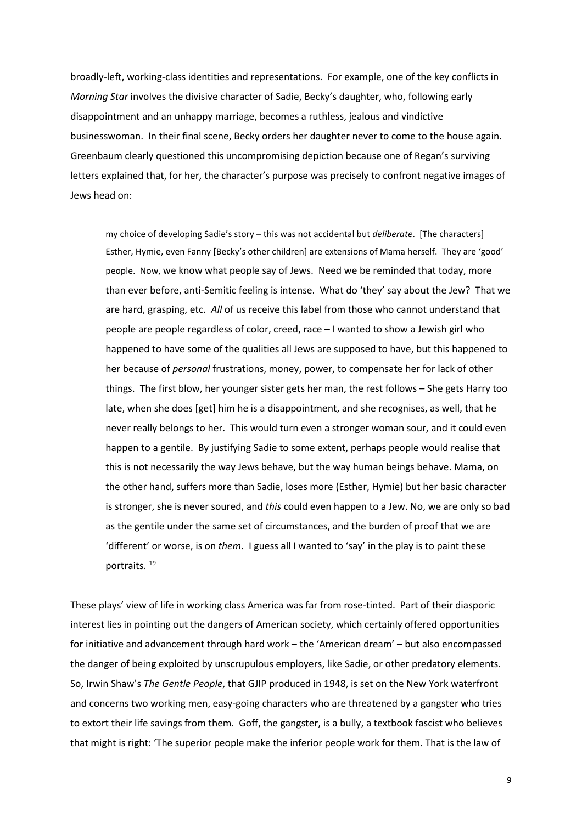broadly-left, working-class identities and representations. For example, one of the key conflicts in *Morning Star* involves the divisive character of Sadie, Becky's daughter, who, following early disappointment and an unhappy marriage, becomes a ruthless, jealous and vindictive businesswoman. In their final scene, Becky orders her daughter never to come to the house again. Greenbaum clearly questioned this uncompromising depiction because one of Regan's surviving letters explained that, for her, the character's purpose was precisely to confront negative images of Jews head on:

my choice of developing Sadie's story – this was not accidental but *deliberate*. [The characters] Esther, Hymie, even Fanny [Becky's other children] are extensions of Mama herself. They are 'good' people. Now, we know what people say of Jews. Need we be reminded that today, more than ever before, anti-Semitic feeling is intense. What do 'they' say about the Jew? That we are hard, grasping, etc. *All* of us receive this label from those who cannot understand that people are people regardless of color, creed, race – I wanted to show a Jewish girl who happened to have some of the qualities all Jews are supposed to have, but this happened to her because of *personal* frustrations, money, power, to compensate her for lack of other things. The first blow, her younger sister gets her man, the rest follows – She gets Harry too late, when she does [get] him he is a disappointment, and she recognises, as well, that he never really belongs to her. This would turn even a stronger woman sour, and it could even happen to a gentile. By justifying Sadie to some extent, perhaps people would realise that this is not necessarily the way Jews behave, but the way human beings behave. Mama, on the other hand, suffers more than Sadie, loses more (Esther, Hymie) but her basic character is stronger, she is never soured, and *this* could even happen to a Jew. No, we are only so bad as the gentile under the same set of circumstances, and the burden of proof that we are 'different' or worse, is on *them*. I guess all I wanted to 'say' in the play is to paint these portraits. [19](#page-19-1)

These plays' view of life in working class America was far from rose-tinted. Part of their diasporic interest lies in pointing out the dangers of American society, which certainly offered opportunities for initiative and advancement through hard work – the 'American dream' – but also encompassed the danger of being exploited by unscrupulous employers, like Sadie, or other predatory elements. So, Irwin Shaw's *The Gentle People*, that GJIP produced in 1948, is set on the New York waterfront and concerns two working men, easy-going characters who are threatened by a gangster who tries to extort their life savings from them. Goff, the gangster, is a bully, a textbook fascist who believes that might is right: 'The superior people make the inferior people work for them. That is the law of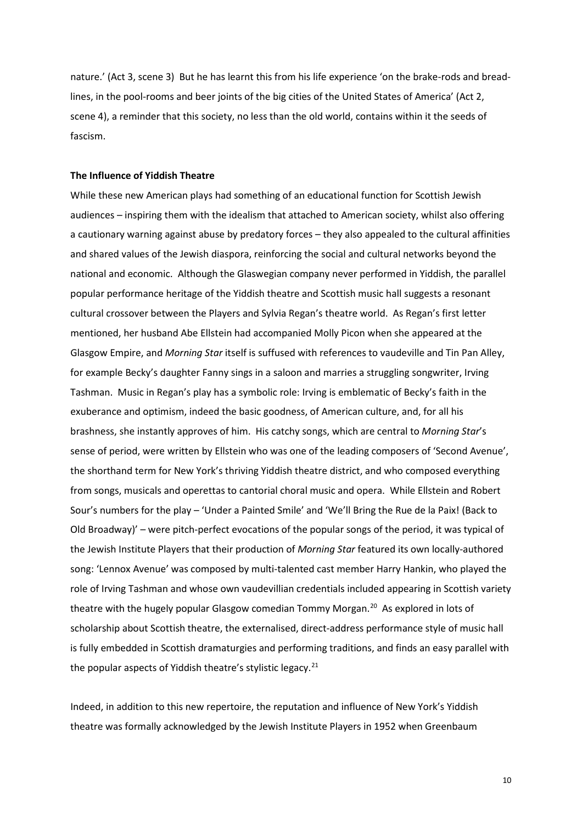nature.' (Act 3, scene 3) But he has learnt this from his life experience 'on the brake-rods and breadlines, in the pool-rooms and beer joints of the big cities of the United States of America' (Act 2, scene 4), a reminder that this society, no less than the old world, contains within it the seeds of fascism.

#### **The Influence of Yiddish Theatre**

While these new American plays had something of an educational function for Scottish Jewish audiences – inspiring them with the idealism that attached to American society, whilst also offering a cautionary warning against abuse by predatory forces – they also appealed to the cultural affinities and shared values of the Jewish diaspora, reinforcing the social and cultural networks beyond the national and economic. Although the Glaswegian company never performed in Yiddish, the parallel popular performance heritage of the Yiddish theatre and Scottish music hall suggests a resonant cultural crossover between the Players and Sylvia Regan's theatre world. As Regan's first letter mentioned, her husband Abe Ellstein had accompanied Molly Picon when she appeared at the Glasgow Empire, and *Morning Star* itself is suffused with references to vaudeville and Tin Pan Alley, for example Becky's daughter Fanny sings in a saloon and marries a struggling songwriter, Irving Tashman. Music in Regan's play has a symbolic role: Irving is emblematic of Becky's faith in the exuberance and optimism, indeed the basic goodness, of American culture, and, for all his brashness, she instantly approves of him. His catchy songs, which are central to *Morning Star*'s sense of period, were written by Ellstein who was one of the leading composers of 'Second Avenue', the shorthand term for New York's thriving Yiddish theatre district, and who composed everything from songs, musicals and operettas to cantorial choral music and opera. While Ellstein and Robert Sour's numbers for the play – 'Under a Painted Smile' and 'We'll Bring the Rue de la Paix! (Back to Old Broadway)' – were pitch-perfect evocations of the popular songs of the period, it was typical of the Jewish Institute Players that their production of *Morning Star* featured its own locally-authored song: 'Lennox Avenue' was composed by multi-talented cast member Harry Hankin, who played the role of Irving Tashman and whose own vaudevillian credentials included appearing in Scottish variety theatre with the hugely popular Glasgow comedian Tommy Morgan.<sup>20</sup> As explored in lots of scholarship about Scottish theatre, the externalised, direct-address performance style of music hall is fully embedded in Scottish dramaturgies and performing traditions, and finds an easy parallel with the popular aspects of Yiddish theatre's stylistic legacy.<sup>[21](#page-19-3)</sup>

Indeed, in addition to this new repertoire, the reputation and influence of New York's Yiddish theatre was formally acknowledged by the Jewish Institute Players in 1952 when Greenbaum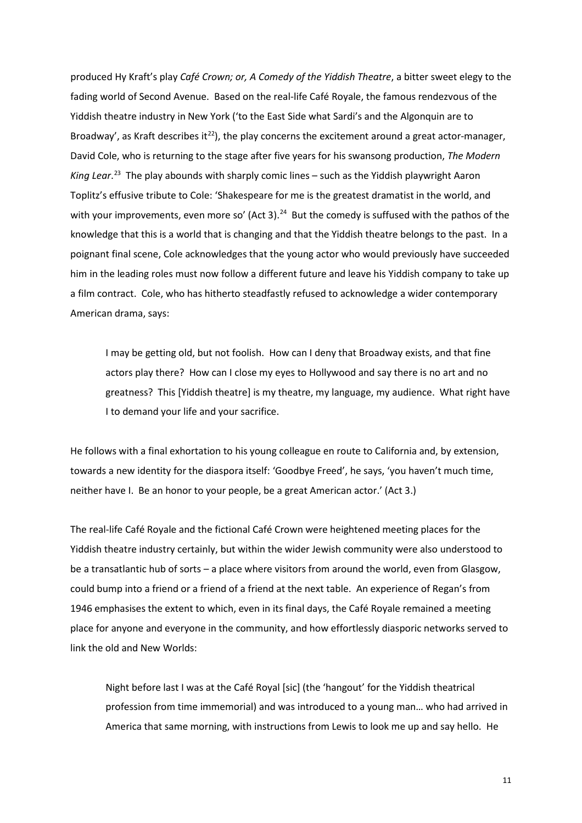produced Hy Kraft's play *Café Crown; or, A Comedy of the Yiddish Theatre*, a bitter sweet elegy to the fading world of Second Avenue. Based on the real-life Café Royale, the famous rendezvous of the Yiddish theatre industry in New York ('to the East Side what Sardi's and the Algonquin are to Broadway', as Kraft describes it<sup>[22](#page-19-4)</sup>), the play concerns the excitement around a great actor-manager, David Cole, who is returning to the stage after five years for his swansong production, *The Modern King Lear*. [23](#page-19-5) The play abounds with sharply comic lines – such as the Yiddish playwright Aaron Toplitz's effusive tribute to Cole: 'Shakespeare for me is the greatest dramatist in the world, and with your improvements, even more so' (Act 3).<sup>[24](#page-19-6)</sup> But the comedy is suffused with the pathos of the knowledge that this is a world that is changing and that the Yiddish theatre belongs to the past. In a poignant final scene, Cole acknowledges that the young actor who would previously have succeeded him in the leading roles must now follow a different future and leave his Yiddish company to take up a film contract. Cole, who has hitherto steadfastly refused to acknowledge a wider contemporary American drama, says:

I may be getting old, but not foolish. How can I deny that Broadway exists, and that fine actors play there? How can I close my eyes to Hollywood and say there is no art and no greatness? This [Yiddish theatre] is my theatre, my language, my audience. What right have I to demand your life and your sacrifice.

He follows with a final exhortation to his young colleague en route to California and, by extension, towards a new identity for the diaspora itself: 'Goodbye Freed', he says, 'you haven't much time, neither have I. Be an honor to your people, be a great American actor.' (Act 3.)

The real-life Café Royale and the fictional Café Crown were heightened meeting places for the Yiddish theatre industry certainly, but within the wider Jewish community were also understood to be a transatlantic hub of sorts – a place where visitors from around the world, even from Glasgow, could bump into a friend or a friend of a friend at the next table. An experience of Regan's from 1946 emphasises the extent to which, even in its final days, the Café Royale remained a meeting place for anyone and everyone in the community, and how effortlessly diasporic networks served to link the old and New Worlds:

Night before last I was at the Café Royal [sic] (the 'hangout' for the Yiddish theatrical profession from time immemorial) and was introduced to a young man… who had arrived in America that same morning, with instructions from Lewis to look me up and say hello. He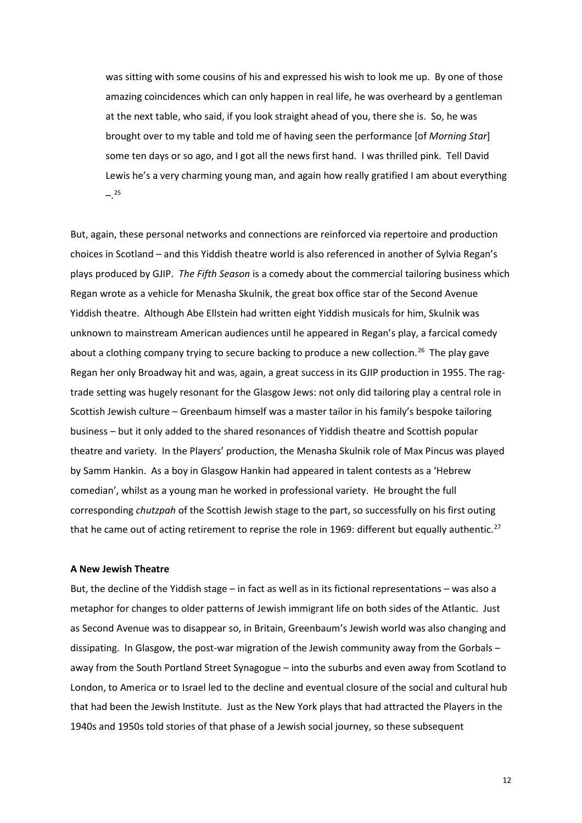was sitting with some cousins of his and expressed his wish to look me up. By one of those amazing coincidences which can only happen in real life, he was overheard by a gentleman at the next table, who said, if you look straight ahead of you, there she is. So, he was brought over to my table and told me of having seen the performance [of *Morning Star*] some ten days or so ago, and I got all the news first hand. I was thrilled pink. Tell David Lewis he's a very charming young man, and again how really gratified I am about everything  $-$ .  $^{25}$  $^{25}$  $^{25}$ 

But, again, these personal networks and connections are reinforced via repertoire and production choices in Scotland – and this Yiddish theatre world is also referenced in another of Sylvia Regan's plays produced by GJIP. *The Fifth Season* is a comedy about the commercial tailoring business which Regan wrote as a vehicle for Menasha Skulnik, the great box office star of the Second Avenue Yiddish theatre. Although Abe Ellstein had written eight Yiddish musicals for him, Skulnik was unknown to mainstream American audiences until he appeared in Regan's play, a farcical comedy about a clothing company trying to secure backing to produce a new collection.<sup>[26](#page-19-8)</sup> The play gave Regan her only Broadway hit and was, again, a great success in its GJIP production in 1955. The ragtrade setting was hugely resonant for the Glasgow Jews: not only did tailoring play a central role in Scottish Jewish culture – Greenbaum himself was a master tailor in his family's bespoke tailoring business – but it only added to the shared resonances of Yiddish theatre and Scottish popular theatre and variety. In the Players' production, the Menasha Skulnik role of Max Pincus was played by Samm Hankin. As a boy in Glasgow Hankin had appeared in talent contests as a 'Hebrew comedian', whilst as a young man he worked in professional variety. He brought the full corresponding *chutzpah* of the Scottish Jewish stage to the part, so successfully on his first outing that he came out of acting retirement to reprise the role in 1969: different but equally authentic.<sup>[27](#page-19-9)</sup>

# **A New Jewish Theatre**

But, the decline of the Yiddish stage – in fact as well as in its fictional representations – was also a metaphor for changes to older patterns of Jewish immigrant life on both sides of the Atlantic. Just as Second Avenue was to disappear so, in Britain, Greenbaum's Jewish world was also changing and dissipating. In Glasgow, the post-war migration of the Jewish community away from the Gorbals – away from the South Portland Street Synagogue – into the suburbs and even away from Scotland to London, to America or to Israel led to the decline and eventual closure of the social and cultural hub that had been the Jewish Institute. Just as the New York plays that had attracted the Players in the 1940s and 1950s told stories of that phase of a Jewish social journey, so these subsequent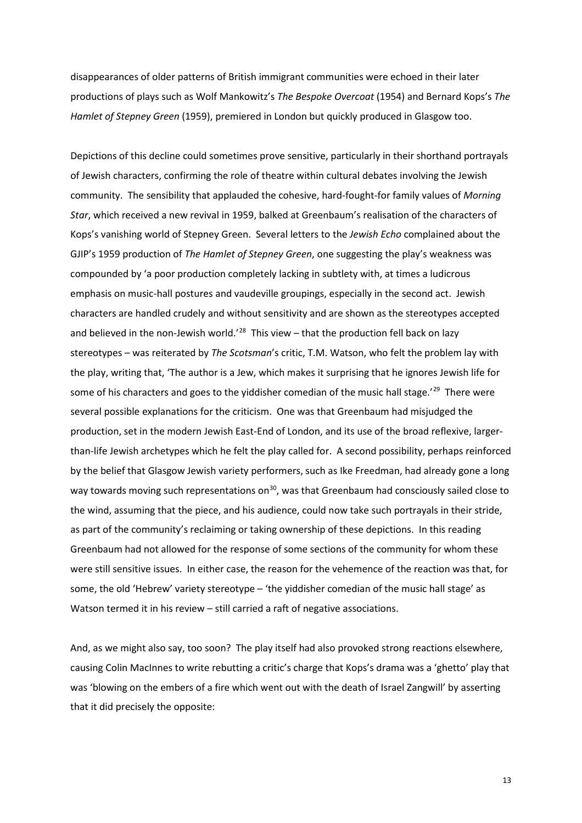disappearances of older patterns of British immigrant communities were echoed in their later productions of plays such as Wolf Mankowitz's *The Bespoke Overcoat* (1954) and Bernard Kops's *The Hamlet of Stepney Green* (1959), premiered in London but quickly produced in Glasgow too.

Depictions of this decline could sometimes prove sensitive, particularly in their shorthand portrayals of Jewish characters, confirming the role of theatre within cultural debates involving the Jewish community. The sensibility that applauded the cohesive, hard-fought-for family values of *Morning Star*, which received a new revival in 1959, balked at Greenbaum's realisation of the characters of Kops's vanishing world of Stepney Green. Several letters to the *Jewish Echo* complained about the GJIP's 1959 production of *The Hamlet of Stepney Green*, one suggesting the play's weakness was compounded by 'a poor production completely lacking in subtlety with, at times a ludicrous emphasis on music-hall postures and vaudeville groupings, especially in the second act. Jewish characters are handled crudely and without sensitivity and are shown as the stereotypes accepted and believed in the non-Jewish world.'<sup>28</sup> This view  $-$  that the production fell back on lazy stereotypes – was reiterated by *The Scotsman*'s critic, T.M. Watson, who felt the problem lay with the play, writing that, 'The author is a Jew, which makes it surprising that he ignores Jewish life for some of his characters and goes to the yiddisher comedian of the music hall stage.<sup>'29</sup> There were several possible explanations for the criticism. One was that Greenbaum had misjudged the production, set in the modern Jewish East-End of London, and its use of the broad reflexive, largerthan-life Jewish archetypes which he felt the play called for. A second possibility, perhaps reinforced by the belief that Glasgow Jewish variety performers, such as Ike Freedman, had already gone a long way towards moving such representations on<sup>30</sup>, was that Greenbaum had consciously sailed close to the wind, assuming that the piece, and his audience, could now take such portrayals in their stride, as part of the community's reclaiming or taking ownership of these depictions. In this reading Greenbaum had not allowed for the response of some sections of the community for whom these were still sensitive issues. In either case, the reason for the vehemence of the reaction was that, for some, the old 'Hebrew' variety stereotype – 'the yiddisher comedian of the music hall stage' as Watson termed it in his review – still carried a raft of negative associations.

And, as we might also say, too soon? The play itself had also provoked strong reactions elsewhere, causing Colin MacInnes to write rebutting a critic's charge that Kops's drama was a 'ghetto' play that was 'blowing on the embers of a fire which went out with the death of Israel Zangwill' by asserting that it did precisely the opposite: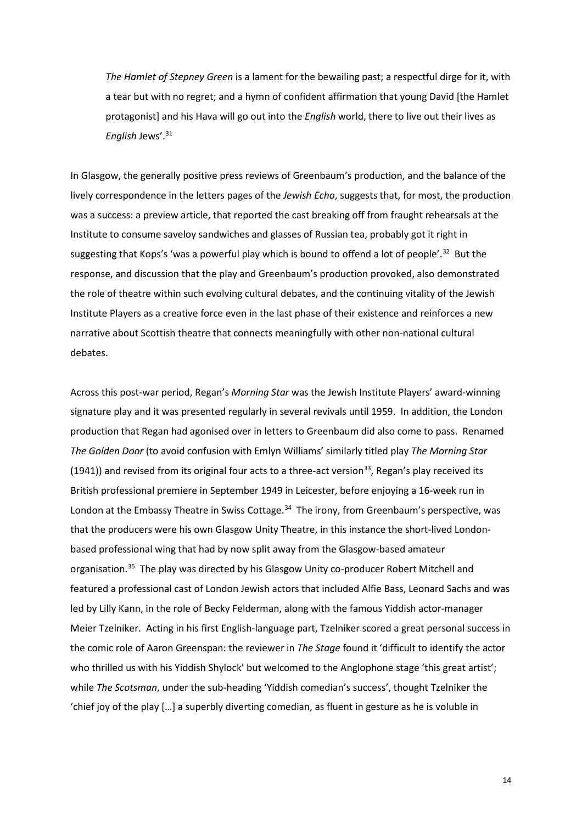*The Hamlet of Stepney Green* is a lament for the bewailing past; a respectful dirge for it, with a tear but with no regret; and a hymn of confident affirmation that young David [the Hamlet protagonist] and his Hava will go out into the *English* world, there to live out their lives as *English* Jews'.[31](#page-20-0)

In Glasgow, the generally positive press reviews of Greenbaum's production, and the balance of the lively correspondence in the letters pages of the *Jewish Echo*, suggests that, for most, the production was a success: a preview article, that reported the cast breaking off from fraught rehearsals at the Institute to consume saveloy sandwiches and glasses of Russian tea, probably got it right in suggesting that Kops's 'was a powerful play which is bound to offend a lot of people'.<sup>[32](#page-20-1)</sup> But the response, and discussion that the play and Greenbaum's production provoked, also demonstrated the role of theatre within such evolving cultural debates, and the continuing vitality of the Jewish Institute Players as a creative force even in the last phase of their existence and reinforces a new narrative about Scottish theatre that connects meaningfully with other non-national cultural debates.

Across this post-war period, Regan's *Morning Star* was the Jewish Institute Players' award-winning signature play and it was presented regularly in several revivals until 1959. In addition, the London production that Regan had agonised over in letters to Greenbaum did also come to pass. Renamed *The Golden Door* (to avoid confusion with Emlyn Williams' similarly titled play *The Morning Star* (1941)) and revised from its original four acts to a three-act version<sup>[33](#page-20-2)</sup>, Regan's play received its British professional premiere in September 1949 in Leicester, before enjoying a 16-week run in London at the Embassy Theatre in Swiss Cottage.<sup>[34](#page-20-3)</sup> The irony, from Greenbaum's perspective, was that the producers were his own Glasgow Unity Theatre, in this instance the short-lived Londonbased professional wing that had by now split away from the Glasgow-based amateur organisation.[35](#page-20-4) The play was directed by his Glasgow Unity co-producer Robert Mitchell and featured a professional cast of London Jewish actors that included Alfie Bass, Leonard Sachs and was led by Lilly Kann, in the role of Becky Felderman, along with the famous Yiddish actor-manager Meier Tzelniker. Acting in his first English-language part, Tzelniker scored a great personal success in the comic role of Aaron Greenspan: the reviewer in *The Stage* found it 'difficult to identify the actor who thrilled us with his Yiddish Shylock' but welcomed to the Anglophone stage 'this great artist'; while *The Scotsman*, under the sub-heading 'Yiddish comedian's success', thought Tzelniker the 'chief joy of the play […] a superbly diverting comedian, as fluent in gesture as he is voluble in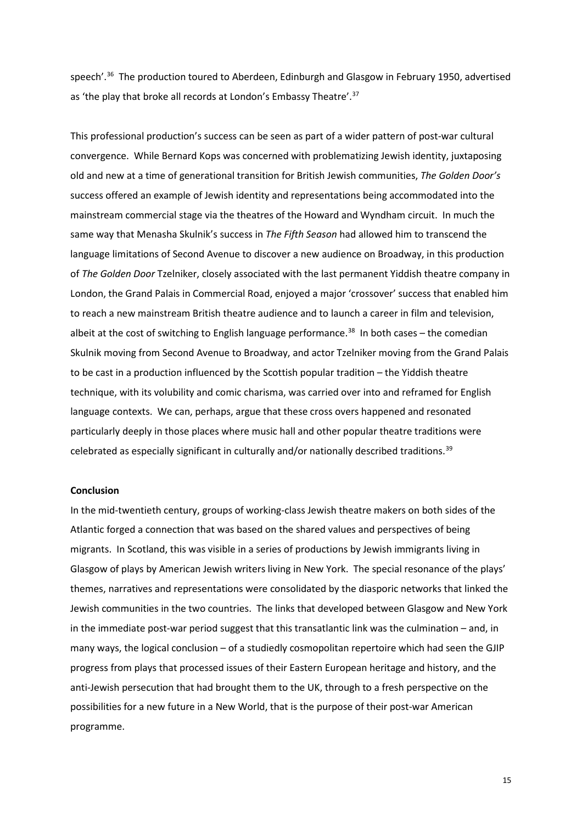speech'.<sup>36</sup> The production toured to Aberdeen, Edinburgh and Glasgow in February 1950, advertised as 'the play that broke all records at London's Embassy Theatre'.<sup>[37](#page-20-6)</sup>

This professional production's success can be seen as part of a wider pattern of post-war cultural convergence. While Bernard Kops was concerned with problematizing Jewish identity, juxtaposing old and new at a time of generational transition for British Jewish communities, *The Golden Door's* success offered an example of Jewish identity and representations being accommodated into the mainstream commercial stage via the theatres of the Howard and Wyndham circuit. In much the same way that Menasha Skulnik's success in *The Fifth Season* had allowed him to transcend the language limitations of Second Avenue to discover a new audience on Broadway, in this production of *The Golden Door* Tzelniker, closely associated with the last permanent Yiddish theatre company in London, the Grand Palais in Commercial Road, enjoyed a major 'crossover' success that enabled him to reach a new mainstream British theatre audience and to launch a career in film and television, albeit at the cost of switching to English language performance.<sup>[38](#page-20-7)</sup> In both cases – the comedian Skulnik moving from Second Avenue to Broadway, and actor Tzelniker moving from the Grand Palais to be cast in a production influenced by the Scottish popular tradition – the Yiddish theatre technique, with its volubility and comic charisma, was carried over into and reframed for English language contexts. We can, perhaps, argue that these cross overs happened and resonated particularly deeply in those places where music hall and other popular theatre traditions were celebrated as especially significant in culturally and/or nationally described traditions. [39](#page-20-8) 

#### **Conclusion**

In the mid-twentieth century, groups of working-class Jewish theatre makers on both sides of the Atlantic forged a connection that was based on the shared values and perspectives of being migrants. In Scotland, this was visible in a series of productions by Jewish immigrants living in Glasgow of plays by American Jewish writers living in New York. The special resonance of the plays' themes, narratives and representations were consolidated by the diasporic networks that linked the Jewish communities in the two countries. The links that developed between Glasgow and New York in the immediate post-war period suggest that this transatlantic link was the culmination – and, in many ways, the logical conclusion – of a studiedly cosmopolitan repertoire which had seen the GJIP progress from plays that processed issues of their Eastern European heritage and history, and the anti-Jewish persecution that had brought them to the UK, through to a fresh perspective on the possibilities for a new future in a New World, that is the purpose of their post-war American programme.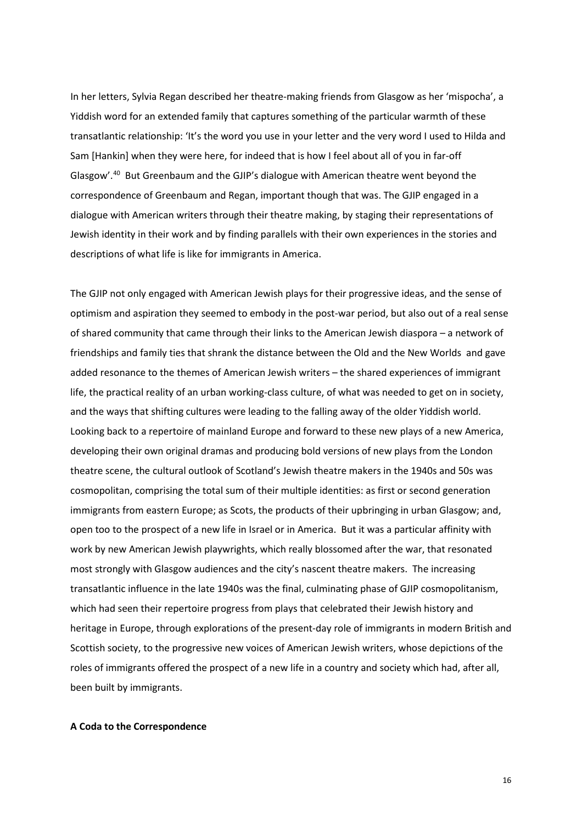In her letters, Sylvia Regan described her theatre-making friends from Glasgow as her 'mispocha', a Yiddish word for an extended family that captures something of the particular warmth of these transatlantic relationship: 'It's the word you use in your letter and the very word I used to Hilda and Sam [Hankin] when they were here, for indeed that is how I feel about all of you in far-off Glasgow'.[40](#page-20-9) But Greenbaum and the GJIP's dialogue with American theatre went beyond the correspondence of Greenbaum and Regan, important though that was. The GJIP engaged in a dialogue with American writers through their theatre making, by staging their representations of Jewish identity in their work and by finding parallels with their own experiences in the stories and descriptions of what life is like for immigrants in America.

The GJIP not only engaged with American Jewish plays for their progressive ideas, and the sense of optimism and aspiration they seemed to embody in the post-war period, but also out of a real sense of shared community that came through their links to the American Jewish diaspora – a network of friendships and family ties that shrank the distance between the Old and the New Worlds and gave added resonance to the themes of American Jewish writers – the shared experiences of immigrant life, the practical reality of an urban working-class culture, of what was needed to get on in society, and the ways that shifting cultures were leading to the falling away of the older Yiddish world. Looking back to a repertoire of mainland Europe and forward to these new plays of a new America, developing their own original dramas and producing bold versions of new plays from the London theatre scene, the cultural outlook of Scotland's Jewish theatre makers in the 1940s and 50s was cosmopolitan, comprising the total sum of their multiple identities: as first or second generation immigrants from eastern Europe; as Scots, the products of their upbringing in urban Glasgow; and, open too to the prospect of a new life in Israel or in America. But it was a particular affinity with work by new American Jewish playwrights, which really blossomed after the war, that resonated most strongly with Glasgow audiences and the city's nascent theatre makers. The increasing transatlantic influence in the late 1940s was the final, culminating phase of GJIP cosmopolitanism, which had seen their repertoire progress from plays that celebrated their Jewish history and heritage in Europe, through explorations of the present-day role of immigrants in modern British and Scottish society, to the progressive new voices of American Jewish writers, whose depictions of the roles of immigrants offered the prospect of a new life in a country and society which had, after all, been built by immigrants.

## **A Coda to the Correspondence**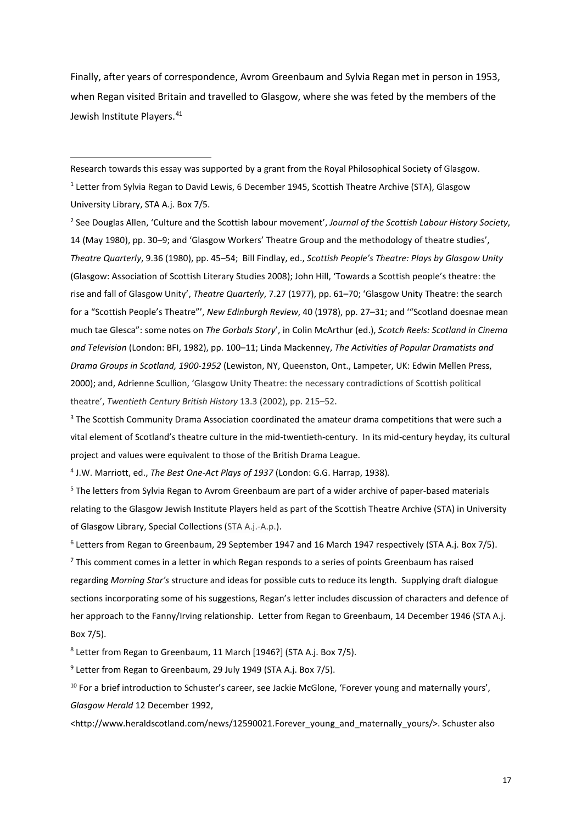Finally, after years of correspondence, Avrom Greenbaum and Sylvia Regan met in person in 1953, when Regan visited Britain and travelled to Glasgow, where she was feted by the members of the Jewish Institute Players.<sup>[41](#page-20-10)</sup>

<span id="page-17-0"></span>Research towards this essay was supported by a grant from the Royal Philosophical Society of Glasgow. <sup>1</sup> Letter from Sylvia Regan to David Lewis, 6 December 1945, Scottish Theatre Archive (STA), Glasgow University Library, STA A.j. Box 7/5.

 $\overline{a}$ 

<span id="page-17-1"></span><sup>2</sup> See Douglas Allen, 'Culture and the Scottish labour movement', *Journal of the Scottish Labour History Society*, 14 (May 1980), pp. 30–9; and 'Glasgow Workers' Theatre Group and the methodology of theatre studies', *Theatre Quarterly*, 9.36 (1980), pp. 45–54; Bill Findlay, ed., *Scottish People's Theatre: Plays by Glasgow Unity* (Glasgow: Association of Scottish Literary Studies 2008); John Hill, 'Towards a Scottish people's theatre: the rise and fall of Glasgow Unity', *Theatre Quarterly*, 7.27 (1977), pp. 61–70; 'Glasgow Unity Theatre: the search for a "Scottish People's Theatre"', *New Edinburgh Review*, 40 (1978), pp. 27–31; and '"Scotland doesnae mean much tae Glesca": some notes on *The Gorbals Story*', in Colin McArthur (ed.), *Scotch Reels: Scotland in Cinema and Television* (London: BFI, 1982), pp. 100–11; Linda Mackenney, *The Activities of Popular Dramatists and Drama Groups in Scotland, 1900-1952* (Lewiston, NY, Queenston, Ont., Lampeter, UK: Edwin Mellen Press, 2000); and, Adrienne Scullion, 'Glasgow Unity Theatre: the necessary contradictions of Scottish political theatre', *Twentieth Century British History* 13.3 (2002), pp. 215–52.

<span id="page-17-2"></span><sup>3</sup> The Scottish Community Drama Association coordinated the amateur drama competitions that were such a vital element of Scotland's theatre culture in the mid-twentieth-century. In its mid-century heyday, its cultural project and values were equivalent to those of the British Drama League.

<span id="page-17-3"></span><sup>4</sup> J.W. Marriott, ed., *The Best One-Act Plays of 1937* (London: G.G. Harrap, 1938)*.*

<span id="page-17-4"></span><sup>5</sup> The letters from Sylvia Regan to Avrom Greenbaum are part of a wider archive of paper-based materials relating to the Glasgow Jewish Institute Players held as part of the Scottish Theatre Archive (STA) in University of Glasgow Library, Special Collections (STA A.j.-A.p.).

<span id="page-17-6"></span><span id="page-17-5"></span><sup>6</sup> Letters from Regan to Greenbaum, 29 September 1947 and 16 March 1947 respectively (STA A.j. Box 7/5).  $7$  This comment comes in a letter in which Regan responds to a series of points Greenbaum has raised regarding *Morning Star's* structure and ideas for possible cuts to reduce its length. Supplying draft dialogue sections incorporating some of his suggestions, Regan's letter includes discussion of characters and defence of her approach to the Fanny/Irving relationship. Letter from Regan to Greenbaum, 14 December 1946 (STA A.j. Box 7/5).

<span id="page-17-7"></span><sup>8</sup> Letter from Regan to Greenbaum, 11 March [1946?] (STA A.j. Box 7/5).

<span id="page-17-8"></span><sup>9</sup> Letter from Regan to Greenbaum, 29 July 1949 (STA A.j. Box 7/5).

<span id="page-17-9"></span><sup>10</sup> For a brief introduction to Schuster's career, see Jackie McGlone, 'Forever young and maternally yours', *Glasgow Herald* 12 December 1992,

<http://www.heraldscotland.com/news/12590021.Forever\_young\_and\_maternally\_yours/>. Schuster also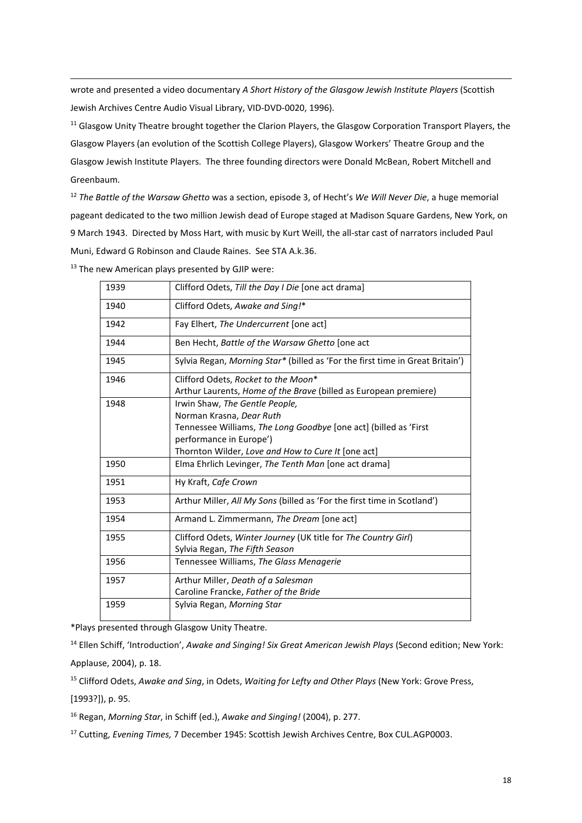$\overline{a}$ wrote and presented a video documentary *A Short History of the Glasgow Jewish Institute Players* (Scottish Jewish Archives Centre Audio Visual Library, VID-DVD-0020, 1996).

<span id="page-18-0"></span><sup>11</sup> Glasgow Unity Theatre brought together the Clarion Players, the Glasgow Corporation Transport Players, the Glasgow Players (an evolution of the Scottish College Players), Glasgow Workers' Theatre Group and the Glasgow Jewish Institute Players. The three founding directors were Donald McBean, Robert Mitchell and Greenbaum.

<span id="page-18-1"></span><sup>12</sup> *The Battle of the Warsaw Ghetto* was a section, episode 3, of Hecht's *We Will Never Die*, a huge memorial pageant dedicated to the two million Jewish dead of Europe staged at Madison Square Gardens, New York, on 9 March 1943. Directed by Moss Hart, with music by Kurt Weill, the all-star cast of narrators included Paul Muni, Edward G Robinson and Claude Raines. See STA A.k.36.

| 1939 | Clifford Odets, Till the Day I Die [one act drama]                            |
|------|-------------------------------------------------------------------------------|
| 1940 | Clifford Odets, Awake and Sing!*                                              |
| 1942 | Fay Elhert, The Undercurrent [one act]                                        |
| 1944 | Ben Hecht, Battle of the Warsaw Ghetto [one act                               |
| 1945 | Sylvia Regan, Morning Star* (billed as 'For the first time in Great Britain') |
| 1946 | Clifford Odets, Rocket to the Moon*                                           |
|      | Arthur Laurents, Home of the Brave (billed as European premiere)              |
| 1948 | Irwin Shaw, The Gentle People,                                                |
|      | Norman Krasna, Dear Ruth                                                      |
|      | Tennessee Williams, The Long Goodbye [one act] (billed as 'First              |
|      | performance in Europe')                                                       |
|      | Thornton Wilder, Love and How to Cure It [one act]                            |
| 1950 | Elma Ehrlich Levinger, The Tenth Man [one act drama]                          |
| 1951 | Hy Kraft, Cafe Crown                                                          |
| 1953 | Arthur Miller, All My Sons (billed as 'For the first time in Scotland')       |
| 1954 | Armand L. Zimmermann, The Dream [one act]                                     |
| 1955 | Clifford Odets, Winter Journey (UK title for The Country Girl)                |
|      | Sylvia Regan, The Fifth Season                                                |
| 1956 | Tennessee Williams, The Glass Menagerie                                       |
| 1957 | Arthur Miller, Death of a Salesman                                            |
|      | Caroline Francke, Father of the Bride                                         |
| 1959 | Sylvia Regan, Morning Star                                                    |

<span id="page-18-2"></span><sup>13</sup> The new American plays presented by GJIP were:

\*Plays presented through Glasgow Unity Theatre.

<span id="page-18-3"></span><sup>14</sup> Ellen Schiff, 'Introduction', *Awake and Singing! Six Great American Jewish Plays* (Second edition; New York: Applause, 2004), p. 18.

<span id="page-18-4"></span><sup>15</sup> Clifford Odets, *Awake and Sing*, in Odets, *Waiting for Lefty and Other Plays* (New York: Grove Press,

[1993?]), p. 95.

<span id="page-18-5"></span><sup>16</sup> Regan, *Morning Star*, in Schiff (ed.), *Awake and Singing!* (2004), p. 277.

<span id="page-18-6"></span><sup>17</sup> Cutting, *Evening Times,* 7 December 1945: Scottish Jewish Archives Centre, Box CUL.AGP0003.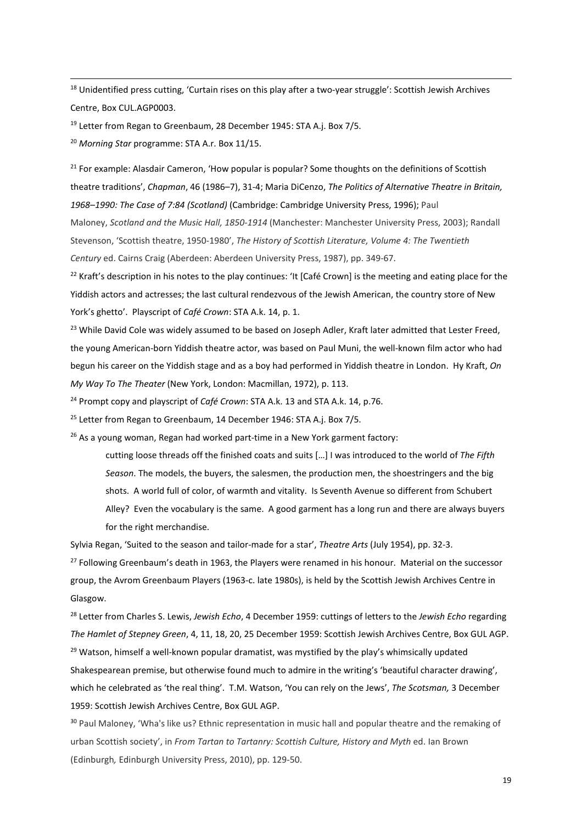<span id="page-19-0"></span><sup>18</sup> Unidentified press cutting, 'Curtain rises on this play after a two-year struggle': Scottish Jewish Archives Centre, Box CUL.AGP0003.

<span id="page-19-1"></span><sup>19</sup> Letter from Regan to Greenbaum, 28 December 1945: STA A.j. Box 7/5.

<span id="page-19-2"></span><sup>20</sup> *Morning Star* programme: STA A.r. Box 11/15.

 $\overline{a}$ 

<span id="page-19-3"></span> $21$  For example: Alasdair Cameron, 'How popular is popular? Some thoughts on the definitions of Scottish theatre traditions', *Chapman*, 46 (1986–7), 31-4; Maria DiCenzo, *The Politics of Alternative Theatre in Britain, 1968–1990: The Case of 7:84 (Scotland)* (Cambridge: Cambridge University Press, 1996); Paul Maloney, *Scotland and the Music Hall, 1850-1914* (Manchester: Manchester University Press, 2003); Randall Stevenson, 'Scottish theatre, 1950-1980', *The History of Scottish Literature, Volume 4: The Twentieth Century* ed. Cairns Craig (Aberdeen: Aberdeen University Press, 1987), pp. 349-67.

<span id="page-19-4"></span><sup>22</sup> Kraft's description in his notes to the play continues: 'It [Café Crown] is the meeting and eating place for the Yiddish actors and actresses; the last cultural rendezvous of the Jewish American, the country store of New York's ghetto'. Playscript of *Café Crown*: STA A.k. 14, p. 1.

<span id="page-19-5"></span><sup>23</sup> While David Cole was widely assumed to be based on Joseph Adler, Kraft later admitted that Lester Freed, the young American-born Yiddish theatre actor, was based on Paul Muni, the well-known film actor who had begun his career on the Yiddish stage and as a boy had performed in Yiddish theatre in London. Hy Kraft, *On My Way To The Theater* (New York, London: Macmillan, 1972), p. 113.

<span id="page-19-6"></span><sup>24</sup> Prompt copy and playscript of *Café Crown*: STA A.k. 13 and STA A.k. 14, p.76.

<span id="page-19-7"></span><sup>25</sup> Letter from Regan to Greenbaum, 14 December 1946: STA A.j. Box 7/5.

<span id="page-19-8"></span> $26$  As a young woman, Regan had worked part-time in a New York garment factory:

cutting loose threads off the finished coats and suits […] I was introduced to the world of *The Fifth Season*. The models, the buyers, the salesmen, the production men, the shoestringers and the big shots. A world full of color, of warmth and vitality. Is Seventh Avenue so different from Schubert Alley? Even the vocabulary is the same. A good garment has a long run and there are always buyers for the right merchandise.

Sylvia Regan, 'Suited to the season and tailor-made for a star', *Theatre Arts* (July 1954), pp. 32-3.

<span id="page-19-9"></span><sup>27</sup> Following Greenbaum's death in 1963, the Players were renamed in his honour. Material on the successor group, the Avrom Greenbaum Players (1963-c. late 1980s), is held by the Scottish Jewish Archives Centre in Glasgow.

<span id="page-19-11"></span><span id="page-19-10"></span><sup>28</sup> Letter from Charles S. Lewis, *Jewish Echo*, 4 December 1959: cuttings of letters to the *Jewish Echo* regarding *The Hamlet of Stepney Green*, 4, 11, 18, 20, 25 December 1959: Scottish Jewish Archives Centre, Box GUL AGP. <sup>29</sup> Watson, himself a well-known popular dramatist, was mystified by the play's whimsically updated Shakespearean premise, but otherwise found much to admire in the writing's 'beautiful character drawing', which he celebrated as 'the real thing'. T.M. Watson, 'You can rely on the Jews', *The Scotsman,* 3 December 1959: Scottish Jewish Archives Centre, Box GUL AGP.

<span id="page-19-12"></span><sup>30</sup> Paul Maloney, 'Wha's like us? Ethnic representation in music hall and popular theatre and the remaking of urban Scottish society', in *From Tartan to Tartanry: Scottish Culture, History and Myth* ed. Ian Brown (Edinburgh*,* Edinburgh University Press, 2010), pp. 129-50.